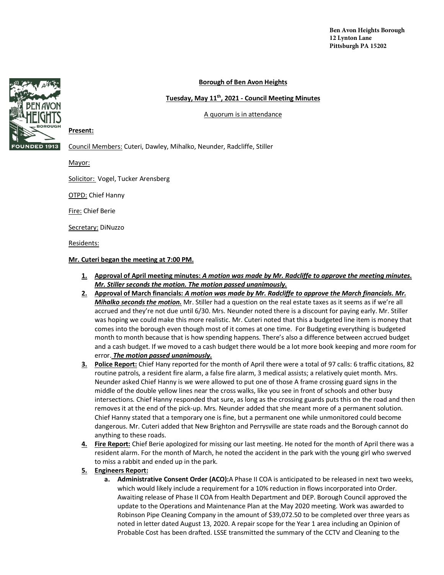## **Borough of Ben Avon Heights**

## **Tuesday, May 11th, 2021 - Council Meeting Minutes**

A quorum is in attendance



## **Present:**

Council Members: Cuteri, Dawley, Mihalko, Neunder, Radcliffe, Stiller

Mayor:

Solicitor: Vogel, Tucker Arensberg

**OTPD: Chief Hanny** 

Fire: Chief Berie

Secretary: DiNuzzo

Residents:

## **Mr. Cuteri began the meeting at 7:00 PM.**

- **1. Approval of April meeting minutes:** *A motion was made by Mr. Radcliffe to approve the meeting minutes. Mr. Stiller seconds the motion. The motion passed unanimously.*
- **2. Approval of March financials:** *A motion was made by Mr. Radcliffe to approve the March financials. Mr. Mihalko seconds the motion.* Mr. Stiller had a question on the real estate taxes as it seems as if we're all accrued and they're not due until 6/30. Mrs. Neunder noted there is a discount for paying early. Mr. Stiller was hoping we could make this more realistic. Mr. Cuteri noted that this a budgeted line item is money that comes into the borough even though most of it comes at one time. For Budgeting everything is budgeted month to month because that is how spending happens. There's also a difference between accrued budget and a cash budget. If we moved to a cash budget there would be a lot more book keeping and more room for error. *The motion passed unanimously.*
- **3. Police Report:** Chief Hany reported for the month of April there were a total of 97 calls: 6 traffic citations, 82 routine patrols, a resident fire alarm, a false fire alarm, 3 medical assists; a relatively quiet month. Mrs. Neunder asked Chief Hanny is we were allowed to put one of those A frame crossing guard signs in the middle of the double yellow lines near the cross walks, like you see in front of schools and other busy intersections. Chief Hanny responded that sure, as long as the crossing guards puts this on the road and then removes it at the end of the pick-up. Mrs. Neunder added that she meant more of a permanent solution. Chief Hanny stated that a temporary one is fine, but a permanent one while unmonitored could become dangerous. Mr. Cuteri added that New Brighton and Perrysville are state roads and the Borough cannot do anything to these roads.
- **4. Fire Report:** Chief Berie apologized for missing our last meeting. He noted for the month of April there was a resident alarm. For the month of March, he noted the accident in the park with the young girl who swerved to miss a rabbit and ended up in the park.
- **5. Engineers Report:**
	- **a. Administrative Consent Order (ACO):**A Phase II COA is anticipated to be released in next two weeks, which would likely include a requirement for a 10% reduction in flows incorporated into Order. Awaiting release of Phase II COA from Health Department and DEP. Borough Council approved the update to the Operations and Maintenance Plan at the May 2020 meeting. Work was awarded to Robinson Pipe Cleaning Company in the amount of \$39,072.50 to be completed over three years as noted in letter dated August 13, 2020. A repair scope for the Year 1 area including an Opinion of Probable Cost has been drafted. LSSE transmitted the summary of the CCTV and Cleaning to the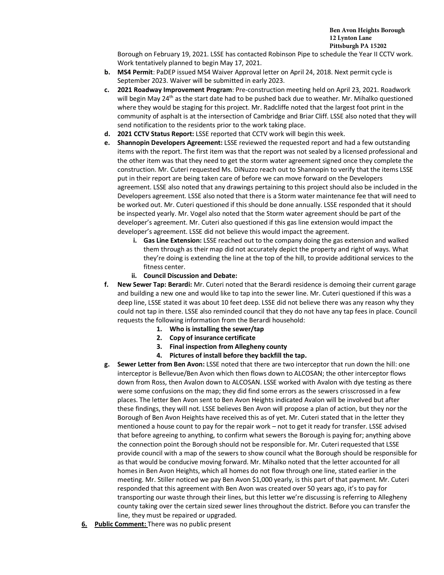Borough on February 19, 2021. LSSE has contacted Robinson Pipe to schedule the Year II CCTV work. Work tentatively planned to begin May 17, 2021.

- **b. MS4 Permit**: PaDEP issued MS4 Waiver Approval letter on April 24, 2018. Next permit cycle is September 2023. Waiver will be submitted in early 2023.
- **c. 2021 Roadway Improvement Program**: Pre-construction meeting held on April 23, 2021. Roadwork will begin May 24<sup>th</sup> as the start date had to be pushed back due to weather. Mr. Mihalko questioned where they would be staging for this project. Mr. Radcliffe noted that the largest foot print in the community of asphalt is at the intersection of Cambridge and Briar Cliff. LSSE also noted that they will send notification to the residents prior to the work taking place.
- **d. 2021 CCTV Status Report:** LSSE reported that CCTV work will begin this week.
- **e. Shannopin Developers Agreement:** LSSE reviewed the requested report and had a few outstanding items with the report. The first item was that the report was not sealed by a licensed professional and the other item was that they need to get the storm water agreement signed once they complete the construction. Mr. Cuteri requested Ms. DiNuzzo reach out to Shannopin to verify that the items LSSE put in their report are being taken care of before we can move forward on the Developers agreement. LSSE also noted that any drawings pertaining to this project should also be included in the Developers agreement. LSSE also noted that there is a Storm water maintenance fee that will need to be worked out. Mr. Cuteri questioned if this should be done annually. LSSE responded that it should be inspected yearly. Mr. Vogel also noted that the Storm water agreement should be part of the developer's agreement. Mr. Cuteri also questioned if this gas line extension would impact the developer's agreement. LSSE did not believe this would impact the agreement.
	- **i. Gas Line Extension:** LSSE reached out to the company doing the gas extension and walked them through as their map did not accurately depict the property and right of ways. What they're doing is extending the line at the top of the hill, to provide additional services to the fitness center.
	- **ii. Council Discussion and Debate:**
- **f. New Sewer Tap: Berardi:** Mr. Cuteri noted that the Berardi residence is demoing their current garage and building a new one and would like to tap into the sewer line. Mr. Cuteri questioned if this was a deep line, LSSE stated it was about 10 feet deep. LSSE did not believe there was any reason why they could not tap in there. LSSE also reminded council that they do not have any tap fees in place. Council requests the following information from the Berardi household:
	- **1. Who is installing the sewer/tap**
	- **2. Copy of insurance certificate**
	- **3. Final inspection from Allegheny county**
	- **4. Pictures of install before they backfill the tap.**
- **g. Sewer Letter from Ben Avon:** LSSE noted that there are two interceptor that run down the hill: one interceptor is Bellevue/Ben Avon which then flows down to ALCOSAN; the other interceptor flows down from Ross, then Avalon down to ALCOSAN. LSSE worked with Avalon with dye testing as there were some confusions on the map; they did find some errors as the sewers crisscrossed in a few places. The letter Ben Avon sent to Ben Avon Heights indicated Avalon will be involved but after these findings, they will not. LSSE believes Ben Avon will propose a plan of action, but they nor the Borough of Ben Avon Heights have received this as of yet. Mr. Cuteri stated that in the letter they mentioned a house count to pay for the repair work – not to get it ready for transfer. LSSE advised that before agreeing to anything, to confirm what sewers the Borough is paying for; anything above the connection point the Borough should not be responsible for. Mr. Cuteri requested that LSSE provide council with a map of the sewers to show council what the Borough should be responsible for as that would be conducive moving forward. Mr. Mihalko noted that the letter accounted for all homes in Ben Avon Heights, which all homes do not flow through one line, stated earlier in the meeting. Mr. Stiller noticed we pay Ben Avon \$1,000 yearly, is this part of that payment. Mr. Cuteri responded that this agreement with Ben Avon was created over 50 years ago, it's to pay for transporting our waste through their lines, but this letter we're discussing is referring to Allegheny county taking over the certain sized sewer lines throughout the district. Before you can transfer the line, they must be repaired or upgraded.
- **6. Public Comment:** There was no public present